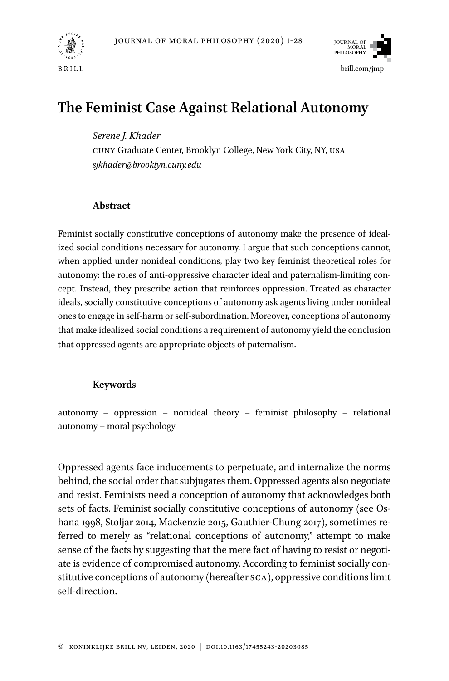



# **The Feminist Case Against Relational Autonomy**

*Serene J. Khader* CUNY Graduate Center, Brooklyn College, New York City, NY, USA *sjkhader@brooklyn.cuny.edu*

# **Abstract**

Feminist socially constitutive conceptions of autonomy make the presence of idealized social conditions necessary for autonomy. I argue that such conceptions cannot, when applied under nonideal conditions, play two key feminist theoretical roles for autonomy: the roles of anti-oppressive character ideal and paternalism-limiting concept. Instead, they prescribe action that reinforces oppression. Treated as character ideals, socially constitutive conceptions of autonomy ask agents living under nonideal ones to engage in self-harm or self-subordination. Moreover, conceptions of autonomy that make idealized social conditions a requirement of autonomy yield the conclusion that oppressed agents are appropriate objects of paternalism.

# **Keywords**

autonomy – oppression – nonideal theory – feminist philosophy – relational autonomy – moral psychology

Oppressed agents face inducements to perpetuate, and internalize the norms behind, the social order that subjugates them. Oppressed agents also negotiate and resist. Feminists need a conception of autonomy that acknowledges both sets of facts. Feminist socially constitutive conceptions of autonomy (see [Os](#page-27-0)[hana 1998](#page-27-0), [Stoljar 2014,](#page-27-1) [Mackenzie 2015](#page-26-0), Gauthier-Chung 2017), sometimes referred to merely as "relational conceptions of autonomy," attempt to make sense of the facts by suggesting that the mere fact of having to resist or negotiate is evidence of compromised autonomy. According to feminist socially constitutive conceptions of autonomy (hereafter sca), oppressive conditions limit self-direction.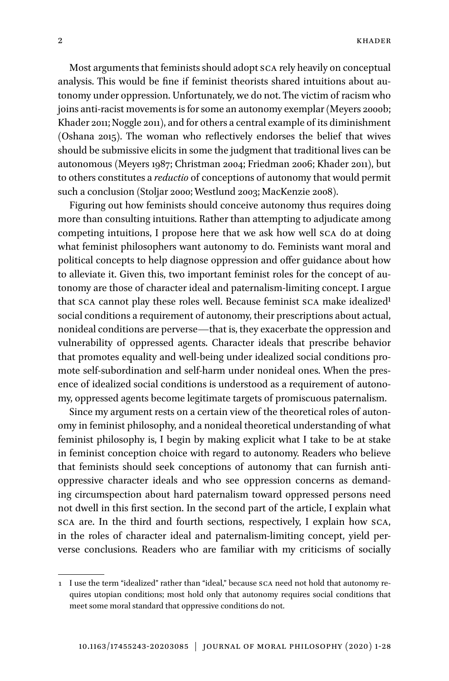Most arguments that feminists should adopt sca rely heavily on conceptual analysis. This would be fine if feminist theorists shared intuitions about autonomy under oppression. Unfortunately, we do not. The victim of racism who joins anti-racist movements is for some an autonomy exemplar (Meyers 2000b; [Khader 2011;](#page-26-1) [Noggle 2011\)](#page-27-2), and for others a central example of its diminishment [\(Oshana 2015\)](#page-27-3). The woman who reflectively endorses the belief that wives should be submissive elicits in some the judgment that traditional lives can be autonomous ([Meyers 1987;](#page-27-4) [Christman 2004;](#page-25-0) [Friedman 2006;](#page-26-2) [Khader 2011](#page-26-1)), but to others constitutes a *reductio* of conceptions of autonomy that would permit such a conclusion [\(Stoljar 2000](#page-27-5); [Westlund 2003](#page-27-6); [MacKenzie 2008\)](#page-26-3).

Figuring out how feminists should conceive autonomy thus requires doing more than consulting intuitions. Rather than attempting to adjudicate among competing intuitions, I propose here that we ask how well sca do at doing what feminist philosophers want autonomy to do. Feminists want moral and political concepts to help diagnose oppression and offer guidance about how to alleviate it. Given this, two important feminist roles for the concept of autonomy are those of character ideal and paternalism-limiting concept. I argue that sca cannot play these roles well. Because feminist sca make idealized<sup>[1](#page-1-0)</sup> social conditions a requirement of autonomy, their prescriptions about actual, nonideal conditions are perverse—that is, they exacerbate the oppression and vulnerability of oppressed agents. Character ideals that prescribe behavior that promotes equality and well-being under idealized social conditions promote self-subordination and self-harm under nonideal ones. When the presence of idealized social conditions is understood as a requirement of autonomy, oppressed agents become legitimate targets of promiscuous paternalism.

Since my argument rests on a certain view of the theoretical roles of autonomy in feminist philosophy, and a nonideal theoretical understanding of what feminist philosophy is, I begin by making explicit what I take to be at stake in feminist conception choice with regard to autonomy. Readers who believe that feminists should seek conceptions of autonomy that can furnish antioppressive character ideals and who see oppression concerns as demanding circumspection about hard paternalism toward oppressed persons need not dwell in this first section. In the second part of the article, I explain what sca are. In the third and fourth sections, respectively, I explain how sca, in the roles of character ideal and paternalism-limiting concept, yield perverse conclusions. Readers who are familiar with my criticisms of socially

<span id="page-1-0"></span><sup>1</sup> I use the term "idealized" rather than "ideal," because sca need not hold that autonomy requires utopian conditions; most hold only that autonomy requires social conditions that meet some moral standard that oppressive conditions do not.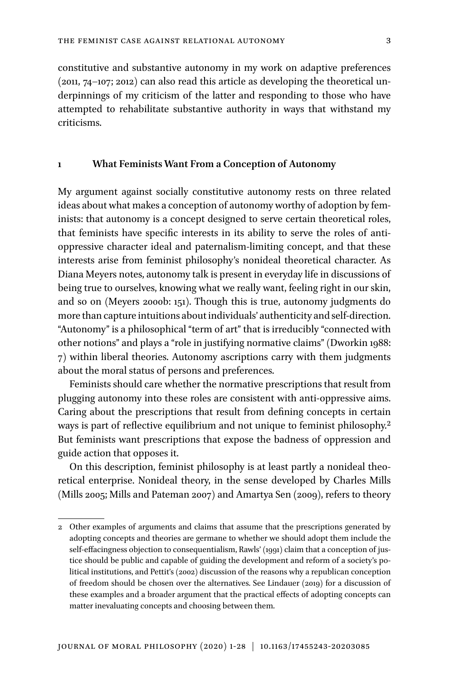constitutive and substantive autonomy in my work on adaptive preferences (2011, 74–107; 2012) can also read this article as developing the theoretical underpinnings of my criticism of the latter and responding to those who have attempted to rehabilitate substantive authority in ways that withstand my criticisms.

#### **1 What Feminists Want From a Conception of Autonomy**

My argument against socially constitutive autonomy rests on three related ideas about what makes a conception of autonomy worthy of adoption by feminists: that autonomy is a concept designed to serve certain theoretical roles, that feminists have specific interests in its ability to serve the roles of antioppressive character ideal and paternalism-limiting concept, and that these interests arise from feminist philosophy's nonideal theoretical character. As Diana Meyers notes, autonomy talk is present in everyday life in discussions of being true to ourselves, knowing what we really want, feeling right in our skin, and so on (Meyers 2000b: 151). Though this is true, autonomy judgments do more than capture intuitions about individuals' authenticity and self-direction. "Autonomy" is a philosophical "term of art" that is irreducibly "connected with other notions" and plays a "role in justifying normative claims" [\(Dworkin 1988](#page-26-4): 7) within liberal theories. Autonomy ascriptions carry with them judgments about the moral status of persons and preferences.

Feminists should care whether the normative prescriptions that result from plugging autonomy into these roles are consistent with anti-oppressive aims. Caring about the prescriptions that result from defining concepts in certain ways is part of reflective equilibrium and not unique to feminist philosophy.[2](#page-2-0) But feminists want prescriptions that expose the badness of oppression and guide action that opposes it.

On this description, feminist philosophy is at least partly a nonideal theoretical enterprise. Nonideal theory, in the sense developed by Charles Mills [\(Mills 2005;](#page-27-7) [Mills and Pateman 2007](#page-27-8)) and Amartya [Sen \(2009\)](#page-27-9), refers to theory

<span id="page-2-0"></span><sup>2</sup> Other examples of arguments and claims that assume that the prescriptions generated by adopting concepts and theories are germane to whether we should adopt them include the self-effacingness objection to consequentialism, Rawls' (1991) claim that a conception of justice should be public and capable of guiding the development and reform of a society's political institutions, and Pettit's (2002) discussion of the reasons why a republican conception of freedom should be chosen over the alternatives. See Lindauer (2019) for a discussion of these examples and a broader argument that the practical effects of adopting concepts can matter inevaluating concepts and choosing between them.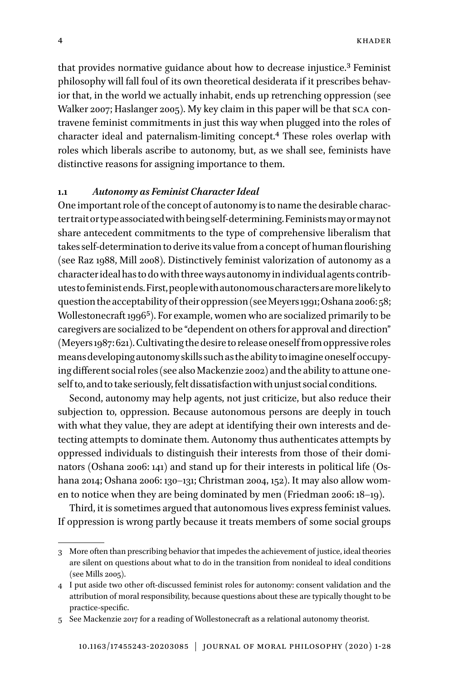that provides normative guidance about how to decrease injustice[.3](#page-3-0) Feminist philosophy will fall foul of its own theoretical desiderata if it prescribes behavior that, in the world we actually inhabit, ends up retrenching oppression (see [Walker 2007;](#page-27-10) Haslanger 2005). My key claim in this paper will be that sca contravene feminist commitments in just this way when plugged into the roles of character ideal and paternalism-limiting concept.[4](#page-3-1) These roles overlap with roles which liberals ascribe to autonomy, but, as we shall see, feminists have distinctive reasons for assigning importance to them.

## **1.1** *Autonomy as Feminist Character Ideal*

One important role of the concept of autonomy is to name the desirable character trait or type associated with being self-determining. Feminists may or may not share antecedent commitments to the type of comprehensive liberalism that takes self-determination to derive its value from a concept of human flourishing (see [Raz 1988](#page-27-11), [Mill 2008](#page-27-12)). Distinctively feminist valorization of autonomy as a character ideal has to do with three ways autonomy in individual agents contributes to feminist ends. First, people with autonomous characters are more likely to question the acceptability of their oppression (see [Meyers 1991;](#page-26-5) [Oshana 2006](#page-27-13): 58; Wollestonecraft 199[65\)](#page-3-2). For example, women who are socialized primarily to be caregivers are socialized to be "dependent on others for approval and direction" [\(Meyers 1987:](#page-27-4) 621). Cultivating the desire to release oneself from oppressive roles means developing autonomy skills such as the ability to imagine oneself occupying different social roles (see also Mackenzie 2002) and the ability to attune oneself to, and to take seriously, felt dissatisfaction with unjust social conditions.

Second, autonomy may help agents, not just criticize, but also reduce their subjection to, oppression. Because autonomous persons are deeply in touch with what they value, they are adept at identifying their own interests and detecting attempts to dominate them. Autonomy thus authenticates attempts by oppressed individuals to distinguish their interests from those of their dominators [\(Oshana 2006](#page-27-13): 141) and stand up for their interests in political life (Oshana 2014; [Oshana 2006](#page-27-13): 130–131; [Christman 2004,](#page-25-0) 152). It may also allow women to notice when they are being dominated by men [\(Friedman 2006](#page-26-2): 18–19).

Third, it is sometimes argued that autonomous lives express feminist values. If oppression is wrong partly because it treats members of some social groups

<span id="page-3-0"></span><sup>3</sup> More often than prescribing behavior that impedes the achievement of justice, ideal theories are silent on questions about what to do in the transition from nonideal to ideal conditions (see [Mills 2005\)](#page-27-7).

<span id="page-3-1"></span><sup>4</sup> I put aside two other oft-discussed feminist roles for autonomy: consent validation and the attribution of moral responsibility, because questions about these are typically thought to be practice-specific.

<span id="page-3-2"></span><sup>5</sup> See Mackenzie 2017 for a reading of Wollestonecraft as a relational autonomy theorist.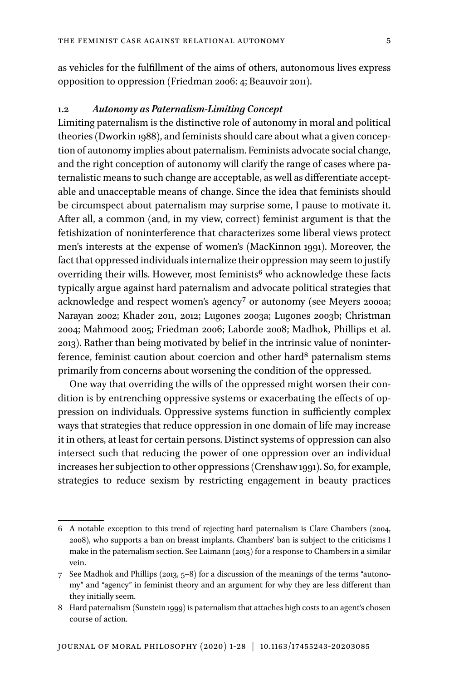as vehicles for the fulfillment of the aims of others, autonomous lives express opposition to oppression [\(Friedman 2006](#page-26-2): 4; Beauvoir 2011).

# **1.2** *Autonomy as Paternalism-Limiting Concept*

Limiting paternalism is the distinctive role of autonomy in moral and political theories [\(Dworkin 1988](#page-26-4)), and feminists should care about what a given conception of autonomy implies about paternalism. Feminists advocate social change, and the right conception of autonomy will clarify the range of cases where paternalistic means to such change are acceptable, as well as differentiate acceptable and unacceptable means of change. Since the idea that feminists should be circumspect about paternalism may surprise some, I pause to motivate it. After all, a common (and, in my view, correct) feminist argument is that the fetishization of noninterference that characterizes some liberal views protect men's interests at the expense of women's ([MacKinnon 1991](#page-26-6)). Moreover, the fact that oppressed individuals internalize their oppression may seem to justify overriding their wills. However, most feminists<sup>6</sup> who acknowledge these facts typically argue against hard paternalism and advocate political strategies that acknowledge and respect women's agency<sup>7</sup> or autonomy (see Meyers 2000a; [Narayan 2002](#page-27-14); [Khader 2011,](#page-26-1) 2012; Lugones 2003a; Lugones 2003b; [Christman](#page-25-0)  [2004](#page-25-0); [Mahmood 2005](#page-26-7); [Friedman 2006;](#page-26-2) [Laborde 2008;](#page-26-8) Madhok, Phillips et al. 2013). Rather than being motivated by belief in the intrinsic value of noninterference, feminist caution about coercion and other hard<sup>8</sup> paternalism stems primarily from concerns about worsening the condition of the oppressed.

One way that overriding the wills of the oppressed might worsen their condition is by entrenching oppressive systems or exacerbating the effects of oppression on individuals. Oppressive systems function in sufficiently complex ways that strategies that reduce oppression in one domain of life may increase it in others, at least for certain persons. Distinct systems of oppression can also intersect such that reducing the power of one oppression over an individual increases her subjection to other oppressions [\(Crenshaw 1991](#page-26-9)). So, for example, strategies to reduce sexism by restricting engagement in beauty practices

<span id="page-4-0"></span><sup>6</sup> A notable exception to this trend of rejecting hard paternalism is Clare [Chambers \(2004,](#page-25-1) 2008), who supports a ban on breast implants. Chambers' ban is subject to the criticisms I make in the paternalism section. See Laimann (2015) for a response to Chambers in a similar vein.

<span id="page-4-1"></span> $7$  See Madhok and Phillips (2013,  $5-8$ ) for a discussion of the meanings of the terms "autonomy" and "agency" in feminist theory and an argument for why they are less different than they initially seem.

<span id="page-4-2"></span><sup>8</sup> Hard paternalism (Sunstein 1999) is paternalism that attaches high costs to an agent's chosen course of action.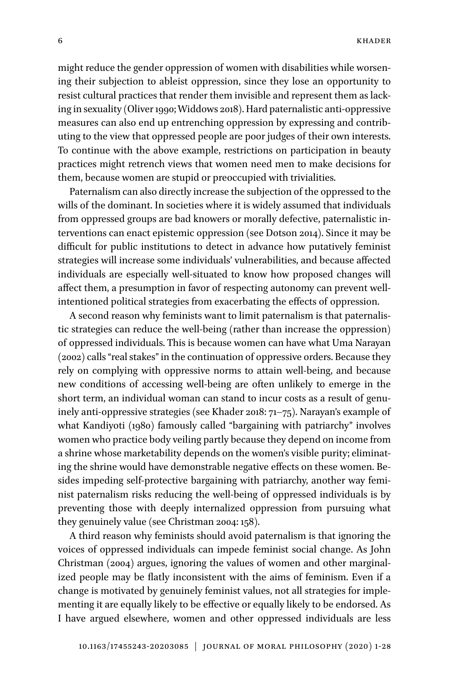might reduce the gender oppression of women with disabilities while worsening their subjection to ableist oppression, since they lose an opportunity to resist cultural practices that render them invisible and represent them as lacking in sexuality (Oliver 1990; Widdows 2018). Hard paternalistic anti-oppressive measures can also end up entrenching oppression by expressing and contributing to the view that oppressed people are poor judges of their own interests. To continue with the above example, restrictions on participation in beauty practices might retrench views that women need men to make decisions for them, because women are stupid or preoccupied with trivialities.

Paternalism can also directly increase the subjection of the oppressed to the wills of the dominant. In societies where it is widely assumed that individuals from oppressed groups are bad knowers or morally defective, paternalistic interventions can enact epistemic oppression (see Dotson 2014). Since it may be difficult for public institutions to detect in advance how putatively feminist strategies will increase some individuals' vulnerabilities, and because affected individuals are especially well-situated to know how proposed changes will affect them, a presumption in favor of respecting autonomy can prevent wellintentioned political strategies from exacerbating the effects of oppression.

A second reason why feminists want to limit paternalism is that paternalistic strategies can reduce the well-being (rather than increase the oppression) of oppressed individuals. This is because women can have what Uma [Narayan](#page-27-14)  [\(2002\)](#page-27-14) calls "real stakes" in the continuation of oppressive orders. Because they rely on complying with oppressive norms to attain well-being, and because new conditions of accessing well-being are often unlikely to emerge in the short term, an individual woman can stand to incur costs as a result of genuinely anti-oppressive strategies (see Khader 2018: 71–75). Narayan's example of what Kandiyoti (1980) famously called "bargaining with patriarchy" involves women who practice body veiling partly because they depend on income from a shrine whose marketability depends on the women's visible purity; eliminating the shrine would have demonstrable negative effects on these women. Besides impeding self-protective bargaining with patriarchy, another way feminist paternalism risks reducing the well-being of oppressed individuals is by preventing those with deeply internalized oppression from pursuing what they genuinely value (see [Christman 2004](#page-25-0): 158).

A third reason why feminists should avoid paternalism is that ignoring the voices of oppressed individuals can impede feminist social change. As John [Christman \(2004\)](#page-25-0) argues, ignoring the values of women and other marginalized people may be flatly inconsistent with the aims of feminism. Even if a change is motivated by genuinely feminist values, not all strategies for implementing it are equally likely to be effective or equally likely to be endorsed. As I have argued elsewhere, women and other oppressed individuals are less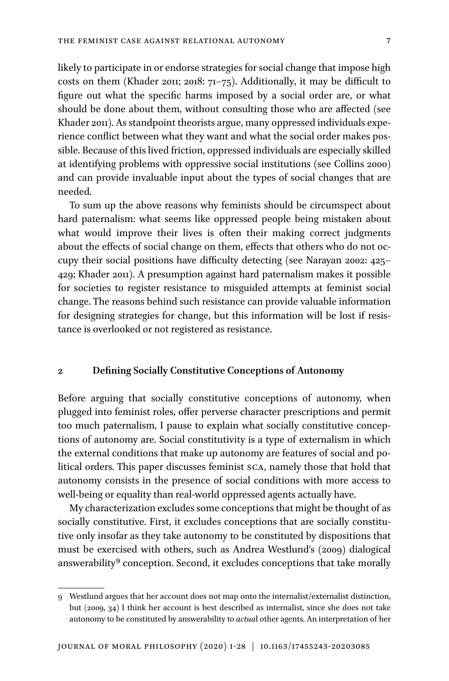likely to participate in or endorse strategies for social change that impose high costs on them [\(Khader 2011;](#page-26-1) 2018: 71–75). Additionally, it may be difficult to figure out what the specific harms imposed by a social order are, or what should be done about them, without consulting those who are affected (see [Khader 2011\)](#page-26-1). As standpoint theorists argue, many oppressed individuals experience conflict between what they want and what the social order makes possible. Because of this lived friction, oppressed individuals are especially skilled at identifying problems with oppressive social institutions (see [Collins 2000](#page-26-10)) and can provide invaluable input about the types of social changes that are needed.

To sum up the above reasons why feminists should be circumspect about hard paternalism: what seems like oppressed people being mistaken about what would improve their lives is often their making correct judgments about the effects of social change on them, effects that others who do not occupy their social positions have difficulty detecting (see [Narayan 2002](#page-27-14): 425– 429; [Khader 2011](#page-26-1)). A presumption against hard paternalism makes it possible for societies to register resistance to misguided attempts at feminist social change. The reasons behind such resistance can provide valuable information for designing strategies for change, but this information will be lost if resistance is overlooked or not registered as resistance.

#### **2 Defining Socially Constitutive Conceptions of Autonomy**

Before arguing that socially constitutive conceptions of autonomy, when plugged into feminist roles, offer perverse character prescriptions and permit too much paternalism, I pause to explain what socially constitutive conceptions of autonomy are. Social constitutivity is a type of externalism in which the external conditions that make up autonomy are features of social and political orders. This paper discusses feminist sca, namely those that hold that autonomy consists in the presence of social conditions with more access to well-being or equality than real-world oppressed agents actually have.

My characterization excludes some conceptions that might be thought of as socially constitutive. First, it excludes conceptions that are socially constitutive only insofar as they take autonomy to be constituted by dispositions that must be exercised with others, such as Andrea Westlund's (2009) dialogical answerability<sup>9</sup> conception. Second, it excludes conceptions that take morally

<span id="page-6-0"></span><sup>9</sup> Westlund argues that her account does not map onto the internalist/externalist distinction, but (2009, 34) I think her account is best described as internalist, since she does not take autonomy to be constituted by answerability to *actua*l other agents. An interpretation of her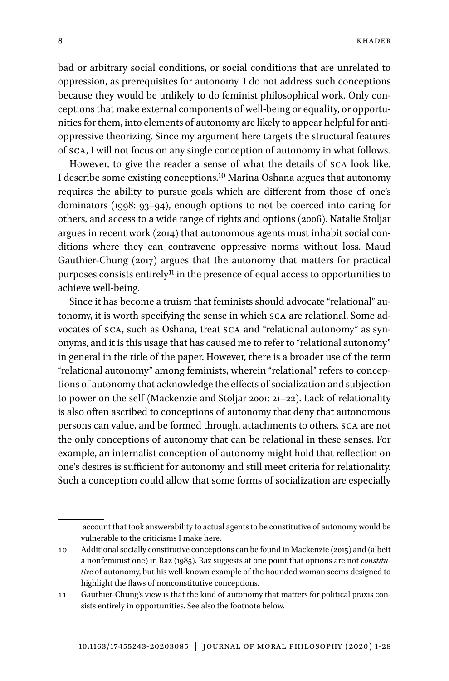bad or arbitrary social conditions, or social conditions that are unrelated to oppression, as prerequisites for autonomy. I do not address such conceptions because they would be unlikely to do feminist philosophical work. Only conceptions that make external components of well-being or equality, or opportunities for them, into elements of autonomy are likely to appear helpful for antioppressive theorizing. Since my argument here targets the structural features of sca, I will not focus on any single conception of autonomy in what follows.

However, to give the reader a sense of what the details of sca look like, I describe some existing conceptions.[10](#page-7-0) Marina Oshana argues that autonomy requires the ability to pursue goals which are different from those of one's dominators (1998: 93–94), enough options to not be coerced into caring for others, and access to a wide range of rights and options (2006). Natalie Stoljar argues in recent work (2014) that autonomous agents must inhabit social conditions where they can contravene oppressive norms without loss. Maud Gauthier-Chung (2017) argues that the autonomy that matters for practical purposes consists entirely<sup>11</sup> in the presence of equal access to opportunities to achieve well-being.

Since it has become a truism that feminists should advocate "relational" autonomy, it is worth specifying the sense in which sca are relational. Some advocates of sca, such as Oshana, treat sca and "relational autonomy" as synonyms, and it is this usage that has caused me to refer to "relational autonomy" in general in the title of the paper. However, there is a broader use of the term "relational autonomy" among feminists, wherein "relational" refers to conceptions of autonomy that acknowledge the effects of socialization and subjection to power on the self (Mackenzie and Stoljar 2001: 21–22). Lack of relationality is also often ascribed to conceptions of autonomy that deny that autonomous persons can value, and be formed through, attachments to others. sca are not the only conceptions of autonomy that can be relational in these senses. For example, an internalist conception of autonomy might hold that reflection on one's desires is sufficient for autonomy and still meet criteria for relationality. Such a conception could allow that some forms of socialization are especially

account that took answerability to actual agents to be constitutive of autonomy would be vulnerable to the criticisms I make here.

<span id="page-7-0"></span><sup>10</sup> Additional socially constitutive conceptions can be found in [Mackenzie \(2015\)](#page-26-0) and (albeit a nonfeminist one) in Raz (1985). Raz suggests at one point that options are not *constitutive* of autonomy, but his well-known example of the hounded woman seems designed to highlight the flaws of nonconstitutive conceptions.

<span id="page-7-1"></span><sup>11</sup> Gauthier-Chung's view is that the kind of autonomy that matters for political praxis consists entirely in opportunities. See also the footnote below.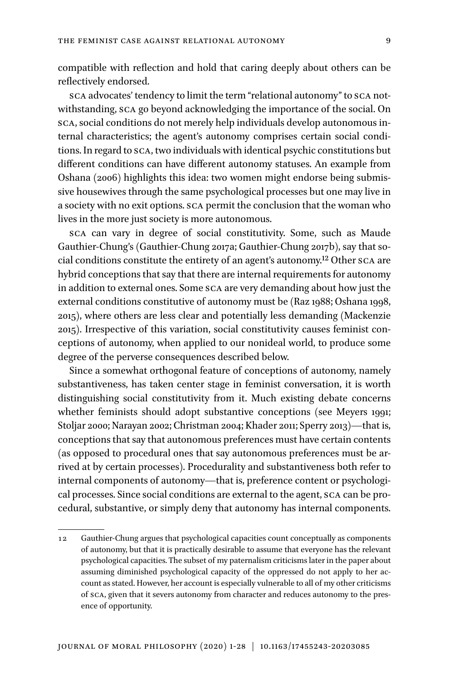compatible with reflection and hold that caring deeply about others can be reflectively endorsed.

sca advocates' tendency to limit the term "relational autonomy" to sca notwithstanding, sca go beyond acknowledging the importance of the social. On sca, social conditions do not merely help individuals develop autonomous internal characteristics; the agent's autonomy comprises certain social conditions. In regard to sca, two individuals with identical psychic constitutions but different conditions can have different autonomy statuses. An example from [Oshana \(2006\)](#page-27-13) highlights this idea: two women might endorse being submissive housewives through the same psychological processes but one may live in a society with no exit options. sca permit the conclusion that the woman who lives in the more just society is more autonomous.

sca can vary in degree of social constitutivity. Some, such as Maude Gauthier-Chung's ([Gauthier-Chung 2017a;](#page-26-11) [Gauthier-Chung 2017b\)](#page-26-12), say that social conditions constitute the entirety of an agent's autonomy[.12](#page-8-0) Other sca are hybrid conceptions that say that there are internal requirements for autonomy in addition to external ones. Some sca are very demanding about how just the external conditions constitutive of autonomy must be ([Raz 1988;](#page-27-11) [Oshana 1998,](#page-27-0)  [2015](#page-27-0)), where others are less clear and potentially less demanding ([Mackenzie](#page-26-0)  [2015](#page-26-0)). Irrespective of this variation, social constitutivity causes feminist conceptions of autonomy, when applied to our nonideal world, to produce some degree of the perverse consequences described below.

Since a somewhat orthogonal feature of conceptions of autonomy, namely substantiveness, has taken center stage in feminist conversation, it is worth distinguishing social constitutivity from it. Much existing debate concerns whether feminists should adopt substantive conceptions (see [Meyers 1991](#page-26-5); [Stoljar 2000](#page-27-5); [Narayan 2002;](#page-27-14) [Christman 2004](#page-25-0); [Khader 2011](#page-26-1); [Sperry 2013](#page-27-15))—that is, conceptions that say that autonomous preferences must have certain contents (as opposed to procedural ones that say autonomous preferences must be arrived at by certain processes). Procedurality and substantiveness both refer to internal components of autonomy—that is, preference content or psychological processes. Since social conditions are external to the agent, sca can be procedural, substantive, or simply deny that autonomy has internal components.

<span id="page-8-0"></span><sup>12</sup> Gauthier-Chung argues that psychological capacities count conceptually as components of autonomy, but that it is practically desirable to assume that everyone has the relevant psychological capacities. The subset of my paternalism criticisms later in the paper about assuming diminished psychological capacity of the oppressed do not apply to her account as stated. However, her account is especially vulnerable to all of my other criticisms of sca, given that it severs autonomy from character and reduces autonomy to the presence of opportunity.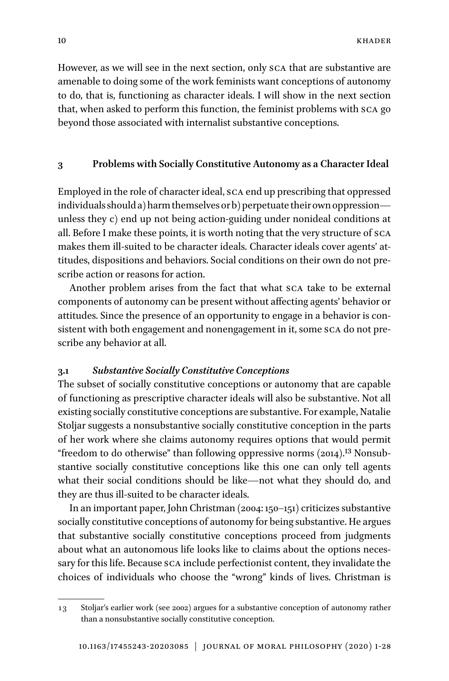However, as we will see in the next section, only sca that are substantive are amenable to doing some of the work feminists want conceptions of autonomy to do, that is, functioning as character ideals. I will show in the next section that, when asked to perform this function, the feminist problems with sca go beyond those associated with internalist substantive conceptions.

# **3 Problems with Socially Constitutive Autonomy as a Character Ideal**

Employed in the role of character ideal, sca end up prescribing that oppressed individuals should a) harm themselves or b) perpetuate their own oppression unless they c) end up not being action-guiding under nonideal conditions at all. Before I make these points, it is worth noting that the very structure of sca makes them ill-suited to be character ideals. Character ideals cover agents' attitudes, dispositions and behaviors. Social conditions on their own do not prescribe action or reasons for action.

Another problem arises from the fact that what sca take to be external components of autonomy can be present without affecting agents' behavior or attitudes. Since the presence of an opportunity to engage in a behavior is consistent with both engagement and nonengagement in it, some sca do not prescribe any behavior at all.

# **3.1** *Substantive Socially Constitutive Conceptions*

The subset of socially constitutive conceptions or autonomy that are capable of functioning as prescriptive character ideals will also be substantive. Not all existing socially constitutive conceptions are substantive. For example, Natalie Stoljar suggests a nonsubstantive socially constitutive conception in the parts of her work where she claims autonomy requires options that would permit "freedom to do otherwise" than following oppressive norms  $(2014)$ <sup>[13](#page-9-0)</sup> Nonsubstantive socially constitutive conceptions like this one can only tell agents what their social conditions should be like—not what they should do, and they are thus ill-suited to be character ideals.

In an important paper, John [Christman \(2004:](#page-25-0) 150–151) criticizes substantive socially constitutive conceptions of autonomy for being substantive. He argues that substantive socially constitutive conceptions proceed from judgments about what an autonomous life looks like to claims about the options necessary for this life. Because sca include perfectionist content, they invalidate the choices of individuals who choose the "wrong" kinds of lives. Christman is

<span id="page-9-0"></span><sup>13</sup> Stoljar's earlier work (see 2002) argues for a substantive conception of autonomy rather than a nonsubstantive socially constitutive conception.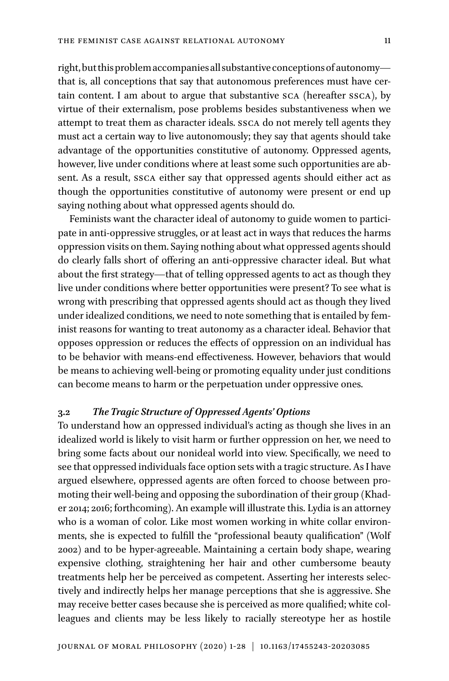right, but this problem accompanies all substantive conceptions of autonomy that is, all conceptions that say that autonomous preferences must have certain content. I am about to argue that substantive sca (hereafter ssca), by virtue of their externalism, pose problems besides substantiveness when we attempt to treat them as character ideals. ssca do not merely tell agents they must act a certain way to live autonomously; they say that agents should take advantage of the opportunities constitutive of autonomy. Oppressed agents, however, live under conditions where at least some such opportunities are absent. As a result, ssca either say that oppressed agents should either act as though the opportunities constitutive of autonomy were present or end up saying nothing about what oppressed agents should do.

Feminists want the character ideal of autonomy to guide women to participate in anti-oppressive struggles, or at least act in ways that reduces the harms oppression visits on them. Saying nothing about what oppressed agents should do clearly falls short of offering an anti-oppressive character ideal. But what about the first strategy—that of telling oppressed agents to act as though they live under conditions where better opportunities were present? To see what is wrong with prescribing that oppressed agents should act as though they lived under idealized conditions, we need to note something that is entailed by feminist reasons for wanting to treat autonomy as a character ideal. Behavior that opposes oppression or reduces the effects of oppression on an individual has to be behavior with means-end effectiveness. However, behaviors that would be means to achieving well-being or promoting equality under just conditions can become means to harm or the perpetuation under oppressive ones.

# **3.2** *The Tragic Structure of Oppressed Agents' Options*

To understand how an oppressed individual's acting as though she lives in an idealized world is likely to visit harm or further oppression on her, we need to bring some facts about our nonideal world into view. Specifically, we need to see that oppressed individuals face option sets with a tragic structure. As I have argued elsewhere, oppressed agents are often forced to choose between promoting their well-being and opposing the subordination of their group (Khader 2014; 2016; forthcoming). An example will illustrate this. Lydia is an attorney who is a woman of color. Like most women working in white collar environments, she is expected to fulfill the "professional beauty qualification" ([Wolf](#page-27-16)  [2002](#page-27-16)) and to be hyper-agreeable. Maintaining a certain body shape, wearing expensive clothing, straightening her hair and other cumbersome beauty treatments help her be perceived as competent. Asserting her interests selectively and indirectly helps her manage perceptions that she is aggressive. She may receive better cases because she is perceived as more qualified; white colleagues and clients may be less likely to racially stereotype her as hostile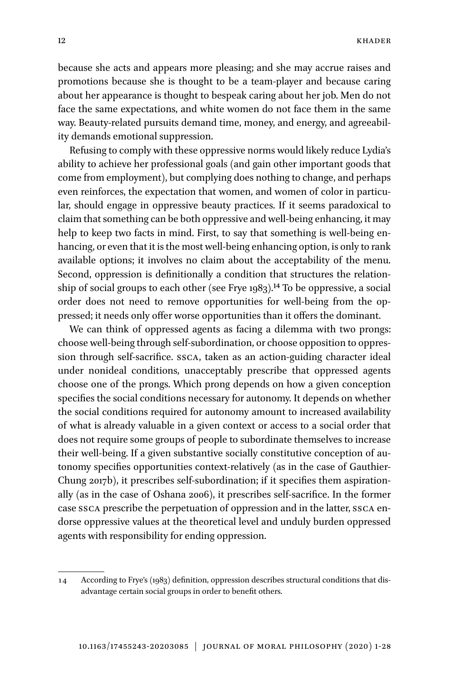because she acts and appears more pleasing; and she may accrue raises and promotions because she is thought to be a team-player and because caring about her appearance is thought to bespeak caring about her job. Men do not face the same expectations, and white women do not face them in the same way. Beauty-related pursuits demand time, money, and energy, and agreeability demands emotional suppression.

Refusing to comply with these oppressive norms would likely reduce Lydia's ability to achieve her professional goals (and gain other important goods that come from employment), but complying does nothing to change, and perhaps even reinforces, the expectation that women, and women of color in particular, should engage in oppressive beauty practices. If it seems paradoxical to claim that something can be both oppressive and well-being enhancing, it may help to keep two facts in mind. First, to say that something is well-being enhancing, or even that it is the most well-being enhancing option, is only to rank available options; it involves no claim about the acceptability of the menu. Second, oppression is definitionally a condition that structures the relationship of social groups to each other (see Frye 1983).[14](#page-11-0) To be oppressive, a social order does not need to remove opportunities for well-being from the oppressed; it needs only offer worse opportunities than it offers the dominant.

We can think of oppressed agents as facing a dilemma with two prongs: choose well-being through self-subordination, or choose opposition to oppression through self-sacrifice. ssca, taken as an action-guiding character ideal under nonideal conditions, unacceptably prescribe that oppressed agents choose one of the prongs. Which prong depends on how a given conception specifies the social conditions necessary for autonomy. It depends on whether the social conditions required for autonomy amount to increased availability of what is already valuable in a given context or access to a social order that does not require some groups of people to subordinate themselves to increase their well-being. If a given substantive socially constitutive conception of autonomy specifies opportunities context-relatively (as in the case of [Gauthier-](#page-26-12)[Chung 2017b](#page-26-12)), it prescribes self-subordination; if it specifies them aspirationally (as in the case of [Oshana 2006\)](#page-27-13), it prescribes self-sacrifice. In the former case ssca prescribe the perpetuation of oppression and in the latter, ssca endorse oppressive values at the theoretical level and unduly burden oppressed agents with responsibility for ending oppression.

<span id="page-11-0"></span><sup>14</sup> According to Frye's (1983) definition, oppression describes structural conditions that disadvantage certain social groups in order to benefit others.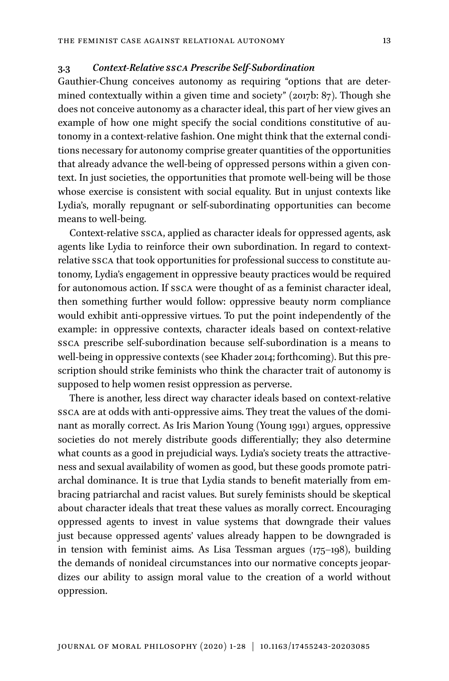# **3.3** *Context-Relative ssca Prescribe Self-Subordination*

Gauthier-Chung conceives autonomy as requiring "options that are determined contextually within a given time and society" (2017b: 87). Though she does not conceive autonomy as a character ideal, this part of her view gives an example of how one might specify the social conditions constitutive of autonomy in a context-relative fashion. One might think that the external conditions necessary for autonomy comprise greater quantities of the opportunities that already advance the well-being of oppressed persons within a given context. In just societies, the opportunities that promote well-being will be those whose exercise is consistent with social equality. But in unjust contexts like Lydia's, morally repugnant or self-subordinating opportunities can become means to well-being.

Context-relative ssca, applied as character ideals for oppressed agents, ask agents like Lydia to reinforce their own subordination. In regard to contextrelative ssca that took opportunities for professional success to constitute autonomy, Lydia's engagement in oppressive beauty practices would be required for autonomous action. If ssca were thought of as a feminist character ideal, then something further would follow: oppressive beauty norm compliance would exhibit anti-oppressive virtues. To put the point independently of the example: in oppressive contexts, character ideals based on context-relative ssca prescribe self-subordination because self-subordination is a means to well-being in oppressive contexts (see Khader 2014; forthcoming). But this prescription should strike feminists who think the character trait of autonomy is supposed to help women resist oppression as perverse.

There is another, less direct way character ideals based on context-relative ssca are at odds with anti-oppressive aims. They treat the values of the dominant as morally correct. As Iris Marion Young [\(Young 1991\)](#page-27-17) argues, oppressive societies do not merely distribute goods differentially; they also determine what counts as a good in prejudicial ways. Lydia's society treats the attractiveness and sexual availability of women as good, but these goods promote patriarchal dominance. It is true that Lydia stands to benefit materially from embracing patriarchal and racist values. But surely feminists should be skeptical about character ideals that treat these values as morally correct. Encouraging oppressed agents to invest in value systems that downgrade their values just because oppressed agents' values already happen to be downgraded is in tension with feminist aims. As Lisa Tessman argues (175–198), building the demands of nonideal circumstances into our normative concepts jeopardizes our ability to assign moral value to the creation of a world without oppression.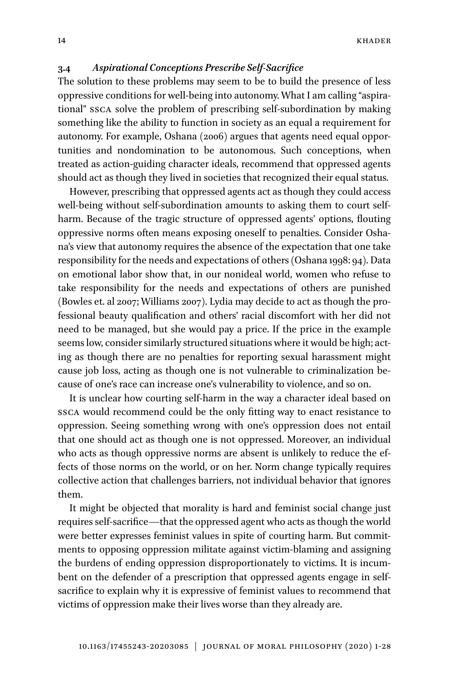# **3.4** *Aspirational Conceptions Prescribe Self-Sacrifice*

The solution to these problems may seem to be to build the presence of less oppressive conditions for well-being into autonomy. What I am calling "aspirational" ssca solve the problem of prescribing self-subordination by making something like the ability to function in society as an equal a requirement for autonomy. For example, [Oshana \(2006\)](#page-27-13) argues that agents need equal opportunities and nondomination to be autonomous. Such conceptions, when treated as action-guiding character ideals, recommend that oppressed agents should act as though they lived in societies that recognized their equal status.

However, prescribing that oppressed agents act as though they could access well-being without self-subordination amounts to asking them to court selfharm. Because of the tragic structure of oppressed agents' options, flouting oppressive norms often means exposing oneself to penalties. Consider Oshana's view that autonomy requires the absence of the expectation that one take responsibility for the needs and expectations of others [\(Oshana 1998:](#page-27-0) 94). Data on emotional labor show that, in our nonideal world, women who refuse to take responsibility for the needs and expectations of others are punished (Bowles et. al 2007; Williams 2007). Lydia may decide to act as though the professional beauty qualification and others' racial discomfort with her did not need to be managed, but she would pay a price. If the price in the example seems low, consider similarly structured situations where it would be high; acting as though there are no penalties for reporting sexual harassment might cause job loss, acting as though one is not vulnerable to criminalization because of one's race can increase one's vulnerability to violence, and so on.

It is unclear how courting self-harm in the way a character ideal based on ssca would recommend could be the only fitting way to enact resistance to oppression. Seeing something wrong with one's oppression does not entail that one should act as though one is not oppressed. Moreover, an individual who acts as though oppressive norms are absent is unlikely to reduce the effects of those norms on the world, or on her. Norm change typically requires collective action that challenges barriers, not individual behavior that ignores them.

It might be objected that morality is hard and feminist social change just requires self-sacrifice—that the oppressed agent who acts as though the world were better expresses feminist values in spite of courting harm. But commitments to opposing oppression militate against victim-blaming and assigning the burdens of ending oppression disproportionately to victims. It is incumbent on the defender of a prescription that oppressed agents engage in selfsacrifice to explain why it is expressive of feminist values to recommend that victims of oppression make their lives worse than they already are.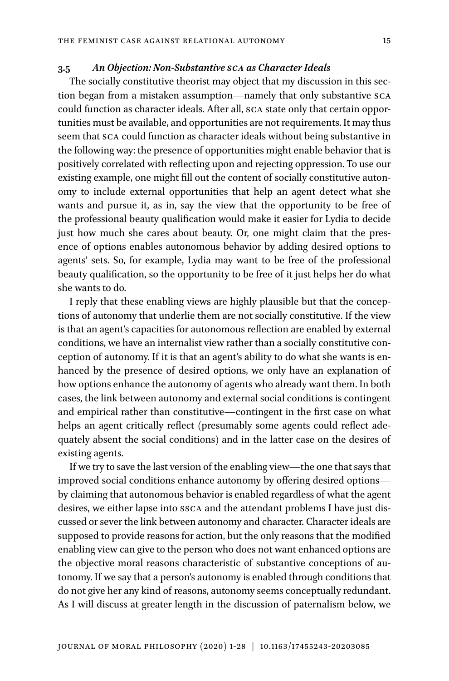# **3.5** *An Objection: Non-Substantive sca as Character Ideals*

The socially constitutive theorist may object that my discussion in this section began from a mistaken assumption—namely that only substantive sca could function as character ideals. After all, sca state only that certain opportunities must be available, and opportunities are not requirements. It may thus seem that sca could function as character ideals without being substantive in the following way: the presence of opportunities might enable behavior that is positively correlated with reflecting upon and rejecting oppression. To use our existing example, one might fill out the content of socially constitutive autonomy to include external opportunities that help an agent detect what she wants and pursue it, as in, say the view that the opportunity to be free of the professional beauty qualification would make it easier for Lydia to decide just how much she cares about beauty. Or, one might claim that the presence of options enables autonomous behavior by adding desired options to agents' sets. So, for example, Lydia may want to be free of the professional beauty qualification, so the opportunity to be free of it just helps her do what she wants to do.

I reply that these enabling views are highly plausible but that the conceptions of autonomy that underlie them are not socially constitutive. If the view is that an agent's capacities for autonomous reflection are enabled by external conditions, we have an internalist view rather than a socially constitutive conception of autonomy. If it is that an agent's ability to do what she wants is enhanced by the presence of desired options, we only have an explanation of how options enhance the autonomy of agents who already want them. In both cases, the link between autonomy and external social conditions is contingent and empirical rather than constitutive—contingent in the first case on what helps an agent critically reflect (presumably some agents could reflect adequately absent the social conditions) and in the latter case on the desires of existing agents.

If we try to save the last version of the enabling view—the one that says that improved social conditions enhance autonomy by offering desired options by claiming that autonomous behavior is enabled regardless of what the agent desires, we either lapse into ssca and the attendant problems I have just discussed or sever the link between autonomy and character. Character ideals are supposed to provide reasons for action, but the only reasons that the modified enabling view can give to the person who does not want enhanced options are the objective moral reasons characteristic of substantive conceptions of autonomy. If we say that a person's autonomy is enabled through conditions that do not give her any kind of reasons, autonomy seems conceptually redundant. As I will discuss at greater length in the discussion of paternalism below, we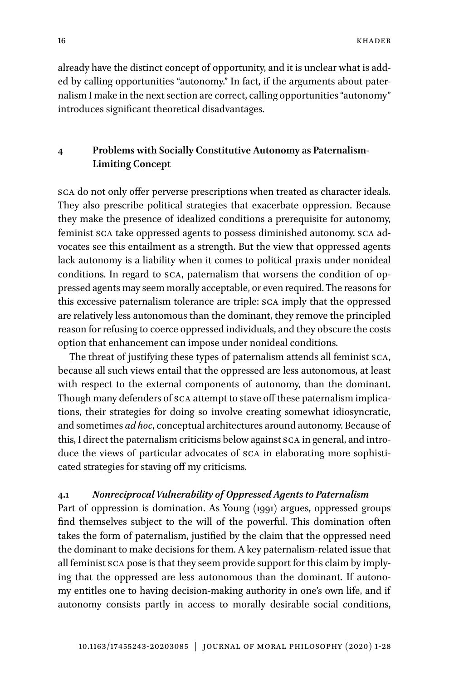already have the distinct concept of opportunity, and it is unclear what is added by calling opportunities "autonomy." In fact, if the arguments about paternalism I make in the next section are correct, calling opportunities "autonomy" introduces significant theoretical disadvantages.

# **4 Problems with Socially Constitutive Autonomy as Paternalism-Limiting Concept**

sca do not only offer perverse prescriptions when treated as character ideals. They also prescribe political strategies that exacerbate oppression. Because they make the presence of idealized conditions a prerequisite for autonomy, feminist sca take oppressed agents to possess diminished autonomy. sca advocates see this entailment as a strength. But the view that oppressed agents lack autonomy is a liability when it comes to political praxis under nonideal conditions. In regard to sca, paternalism that worsens the condition of oppressed agents may seem morally acceptable, or even required. The reasons for this excessive paternalism tolerance are triple: sca imply that the oppressed are relatively less autonomous than the dominant, they remove the principled reason for refusing to coerce oppressed individuals, and they obscure the costs option that enhancement can impose under nonideal conditions.

The threat of justifying these types of paternalism attends all feminist sca, because all such views entail that the oppressed are less autonomous, at least with respect to the external components of autonomy, than the dominant. Though many defenders of sca attempt to stave off these paternalism implications, their strategies for doing so involve creating somewhat idiosyncratic, and sometimes *ad hoc*, conceptual architectures around autonomy. Because of this, I direct the paternalism criticisms below against sca in general, and introduce the views of particular advocates of sca in elaborating more sophisticated strategies for staving off my criticisms.

# **4.1** *Nonreciprocal Vulnerability of Oppressed Agents to Paternalism*

Part of oppression is domination. As [Young \(1991\)](#page-27-17) argues, oppressed groups find themselves subject to the will of the powerful. This domination often takes the form of paternalism, justified by the claim that the oppressed need the dominant to make decisions for them. A key paternalism-related issue that all feminist sca pose is that they seem provide support for this claim by implying that the oppressed are less autonomous than the dominant. If autonomy entitles one to having decision-making authority in one's own life, and if autonomy consists partly in access to morally desirable social conditions,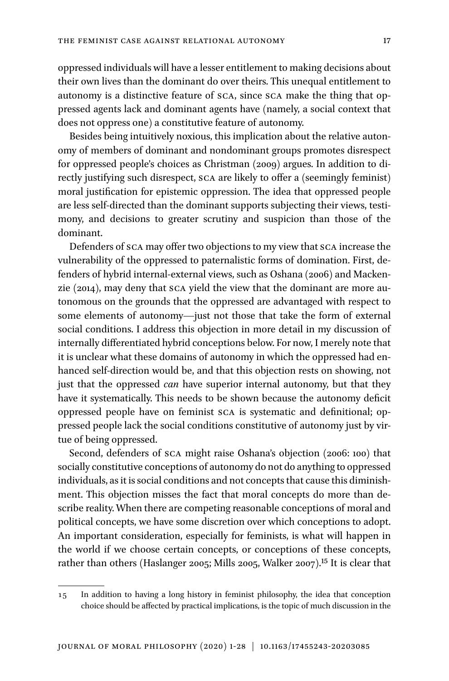oppressed individuals will have a lesser entitlement to making decisions about their own lives than the dominant do over theirs. This unequal entitlement to autonomy is a distinctive feature of sca, since sca make the thing that oppressed agents lack and dominant agents have (namely, a social context that does not oppress one) a constitutive feature of autonomy.

Besides being intuitively noxious, this implication about the relative autonomy of members of dominant and nondominant groups promotes disrespect for oppressed people's choices as Christman (2009) argues. In addition to directly justifying such disrespect, sca are likely to offer a (seemingly feminist) moral justification for epistemic oppression. The idea that oppressed people are less self-directed than the dominant supports subjecting their views, testimony, and decisions to greater scrutiny and suspicion than those of the dominant.

Defenders of sca may offer two objections to my view that sca increase the vulnerability of the oppressed to paternalistic forms of domination. First, defenders of hybrid internal-external views, such as [Oshana \(2006\)](#page-27-13) and Mackenzie (2014), may deny that sca yield the view that the dominant are more autonomous on the grounds that the oppressed are advantaged with respect to some elements of autonomy—just not those that take the form of external social conditions. I address this objection in more detail in my discussion of internally differentiated hybrid conceptions below. For now, I merely note that it is unclear what these domains of autonomy in which the oppressed had enhanced self-direction would be, and that this objection rests on showing, not just that the oppressed *can* have superior internal autonomy, but that they have it systematically. This needs to be shown because the autonomy deficit oppressed people have on feminist sca is systematic and definitional; oppressed people lack the social conditions constitutive of autonomy just by virtue of being oppressed.

Second, defenders of sca might raise Oshana's objection (2006: 100) that socially constitutive conceptions of autonomy do not do anything to oppressed individuals, as it is social conditions and not concepts that cause this diminishment. This objection misses the fact that moral concepts do more than describe reality. When there are competing reasonable conceptions of moral and political concepts, we have some discretion over which conceptions to adopt. An important consideration, especially for feminists, is what will happen in the world if we choose certain concepts, or conceptions of these concepts, rather than others (Haslanger 2005; [Mills 2005](#page-27-7), [Walker 2007\)](#page-27-10).[15](#page-16-0) It is clear that

<span id="page-16-0"></span><sup>15</sup> In addition to having a long history in feminist philosophy, the idea that conception choice should be affected by practical implications, is the topic of much discussion in the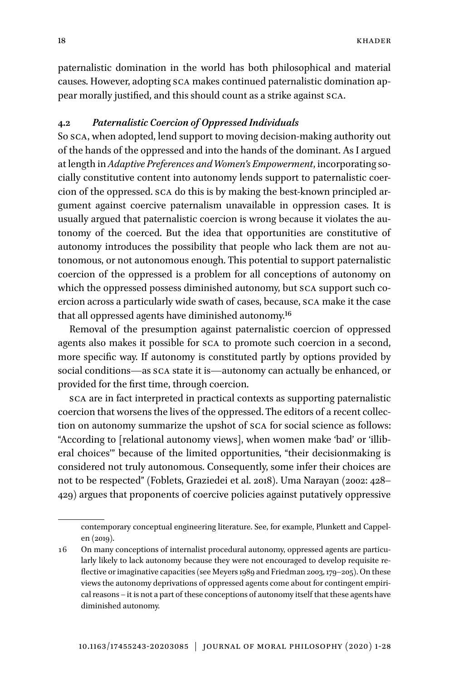paternalistic domination in the world has both philosophical and material causes. However, adopting sca makes continued paternalistic domination appear morally justified, and this should count as a strike against sca.

# **4.2** *Paternalistic Coercion of Oppressed Individuals*

So sca, when adopted, lend support to moving decision-making authority out of the hands of the oppressed and into the hands of the dominant. As I argued at length in *Adaptive Preferences and Women's Empowerment*, incorporating socially constitutive content into autonomy lends support to paternalistic coercion of the oppressed. sca do this is by making the best-known principled argument against coercive paternalism unavailable in oppression cases. It is usually argued that paternalistic coercion is wrong because it violates the autonomy of the coerced. But the idea that opportunities are constitutive of autonomy introduces the possibility that people who lack them are not autonomous, or not autonomous enough. This potential to support paternalistic coercion of the oppressed is a problem for all conceptions of autonomy on which the oppressed possess diminished autonomy, but sca support such coercion across a particularly wide swath of cases, because, sca make it the case that all oppressed agents have diminished autonomy.[16](#page-17-0)

Removal of the presumption against paternalistic coercion of oppressed agents also makes it possible for sca to promote such coercion in a second, more specific way. If autonomy is constituted partly by options provided by social conditions—as sca state it is—autonomy can actually be enhanced, or provided for the first time, through coercion.

sca are in fact interpreted in practical contexts as supporting paternalistic coercion that worsens the lives of the oppressed. The editors of a recent collection on autonomy summarize the upshot of sca for social science as follows: "According to [relational autonomy views], when women make 'bad' or 'illiberal choices'" because of the limited opportunities, "their decisionmaking is considered not truly autonomous. Consequently, some infer their choices are not to be respected" (Foblets, Graziedei et al. 2018). Uma [Narayan \(2002:](#page-27-14) 428– 429) argues that proponents of coercive policies against putatively oppressive

contemporary conceptual engineering literature. See, for example, Plunkett and Cappelen (2019).

<span id="page-17-0"></span><sup>16</sup> On many conceptions of internalist procedural autonomy, oppressed agents are particularly likely to lack autonomy because they were not encouraged to develop requisite reflective or imaginative capacities (see Meyers 1989 and Friedman 2003, 179–205). On these views the autonomy deprivations of oppressed agents come about for contingent empirical reasons – it is not a part of these conceptions of autonomy itself that these agents have diminished autonomy.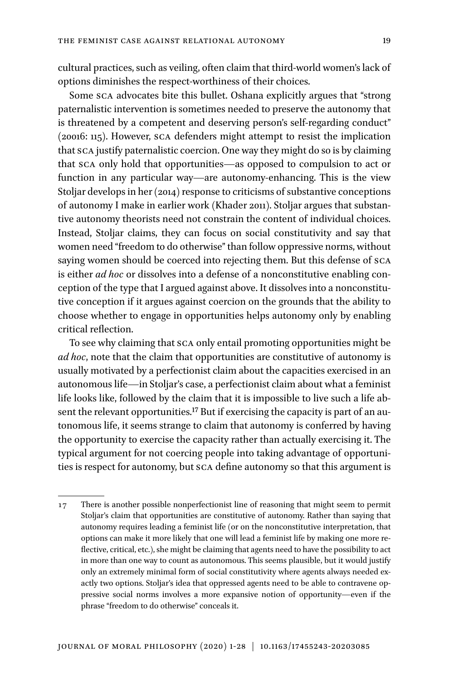cultural practices, such as veiling, often claim that third-world women's lack of options diminishes the respect-worthiness of their choices.

Some sca advocates bite this bullet. Oshana explicitly argues that "strong paternalistic intervention is sometimes needed to preserve the autonomy that is threatened by a competent and deserving person's self-regarding conduct" (20016: 115). However, sca defenders might attempt to resist the implication that sca justify paternalistic coercion. One way they might do so is by claiming that sca only hold that opportunities—as opposed to compulsion to act or function in any particular way—are autonomy-enhancing. This is the view Stoljar develops in her (2014) response to criticisms of substantive conceptions of autonomy I make in earlier work ([Khader 2011](#page-26-1)). Stoljar argues that substantive autonomy theorists need not constrain the content of individual choices. Instead, Stoljar claims, they can focus on social constitutivity and say that women need "freedom to do otherwise" than follow oppressive norms, without saying women should be coerced into rejecting them. But this defense of sca is either *ad hoc* or dissolves into a defense of a nonconstitutive enabling conception of the type that I argued against above. It dissolves into a nonconstitutive conception if it argues against coercion on the grounds that the ability to choose whether to engage in opportunities helps autonomy only by enabling critical reflection.

To see why claiming that sca only entail promoting opportunities might be *ad hoc*, note that the claim that opportunities are constitutive of autonomy is usually motivated by a perfectionist claim about the capacities exercised in an autonomous life—in Stoljar's case, a perfectionist claim about what a feminist life looks like, followed by the claim that it is impossible to live such a life absent the relevant opportunities.<sup>17</sup> But if exercising the capacity is part of an autonomous life, it seems strange to claim that autonomy is conferred by having the opportunity to exercise the capacity rather than actually exercising it. The typical argument for not coercing people into taking advantage of opportunities is respect for autonomy, but sca define autonomy so that this argument is

<span id="page-18-0"></span><sup>17</sup> There is another possible nonperfectionist line of reasoning that might seem to permit Stoljar's claim that opportunities are constitutive of autonomy. Rather than saying that autonomy requires leading a feminist life (or on the nonconstitutive interpretation, that options can make it more likely that one will lead a feminist life by making one more reflective, critical, etc.), she might be claiming that agents need to have the possibility to act in more than one way to count as autonomous. This seems plausible, but it would justify only an extremely minimal form of social constitutivity where agents always needed exactly two options. Stoljar's idea that oppressed agents need to be able to contravene oppressive social norms involves a more expansive notion of opportunity—even if the phrase "freedom to do otherwise" conceals it.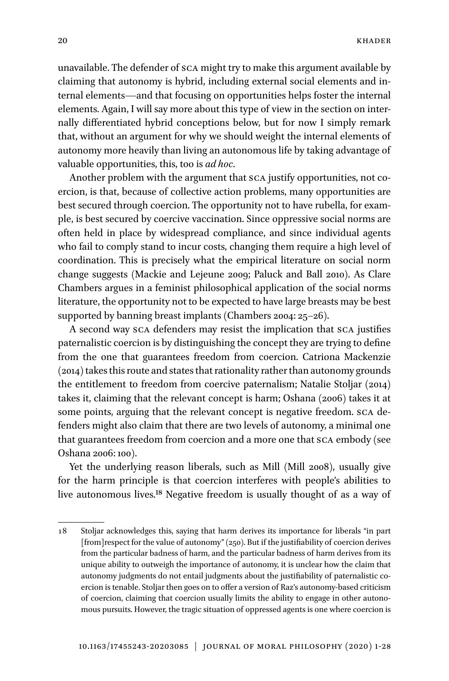unavailable. The defender of sca might try to make this argument available by claiming that autonomy is hybrid, including external social elements and internal elements—and that focusing on opportunities helps foster the internal elements. Again, I will say more about this type of view in the section on internally differentiated hybrid conceptions below, but for now I simply remark that, without an argument for why we should weight the internal elements of autonomy more heavily than living an autonomous life by taking advantage of valuable opportunities, this, too is *ad hoc*.

Another problem with the argument that sca justify opportunities, not coercion, is that, because of collective action problems, many opportunities are best secured through coercion. The opportunity not to have rubella, for example, is best secured by coercive vaccination. Since oppressive social norms are often held in place by widespread compliance, and since individual agents who fail to comply stand to incur costs, changing them require a high level of coordination. This is precisely what the empirical literature on social norm change suggests [\(Mackie and Lejeune 2009](#page-26-13); [Paluck and Ball 2010](#page-27-18)). As Clare Chambers argues in a feminist philosophical application of the social norms literature, the opportunity not to be expected to have large breasts may be best supported by banning breast implants [\(Chambers 2004](#page-25-1): 25–26).

A second way sca defenders may resist the implication that sca justifies paternalistic coercion is by distinguishing the concept they are trying to define from the one that guarantees freedom from coercion. Catriona Mackenzie (2014) takes this route and states that rationality rather than autonomy grounds the entitlement to freedom from coercive paternalism; Natalie [Stoljar \(2014\)](#page-27-1) takes it, claiming that the relevant concept is harm; [Oshana \(2006\)](#page-27-13) takes it at some points, arguing that the relevant concept is negative freedom. sca defenders might also claim that there are two levels of autonomy, a minimal one that guarantees freedom from coercion and a more one that sca embody (see [Oshana 2006:](#page-27-13) 100).

Yet the underlying reason liberals, such as Mill ([Mill 2008](#page-27-12)), usually give for the harm principle is that coercion interferes with people's abilities to live autonomous lives.<sup>18</sup> Negative freedom is usually thought of as a way of

<span id="page-19-0"></span><sup>18</sup> Stoljar acknowledges this, saying that harm derives its importance for liberals "in part [from]respect for the value of autonomy" (250). But if the justifiability of coercion derives from the particular badness of harm, and the particular badness of harm derives from its unique ability to outweigh the importance of autonomy, it is unclear how the claim that autonomy judgments do not entail judgments about the justifiability of paternalistic coercion is tenable. Stoljar then goes on to offer a version of Raz's autonomy-based criticism of coercion, claiming that coercion usually limits the ability to engage in other autonomous pursuits. However, the tragic situation of oppressed agents is one where coercion is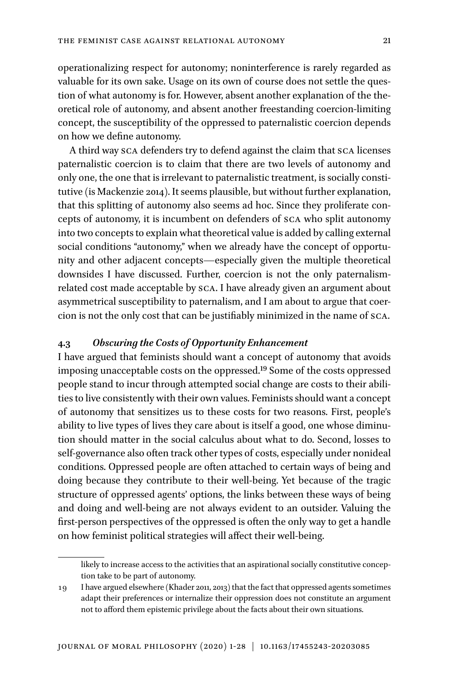operationalizing respect for autonomy; noninterference is rarely regarded as valuable for its own sake. Usage on its own of course does not settle the question of what autonomy is for. However, absent another explanation of the theoretical role of autonomy, and absent another freestanding coercion-limiting concept, the susceptibility of the oppressed to paternalistic coercion depends on how we define autonomy.

A third way sca defenders try to defend against the claim that sca licenses paternalistic coercion is to claim that there are two levels of autonomy and only one, the one that is irrelevant to paternalistic treatment, is socially constitutive (is Mackenzie 2014). It seems plausible, but without further explanation, that this splitting of autonomy also seems ad hoc. Since they proliferate concepts of autonomy, it is incumbent on defenders of sca who split autonomy into two concepts to explain what theoretical value is added by calling external social conditions "autonomy," when we already have the concept of opportunity and other adjacent concepts—especially given the multiple theoretical downsides I have discussed. Further, coercion is not the only paternalismrelated cost made acceptable by sca. I have already given an argument about asymmetrical susceptibility to paternalism, and I am about to argue that coercion is not the only cost that can be justifiably minimized in the name of sca.

# **4.3** *Obscuring the Costs of Opportunity Enhancement*

I have argued that feminists should want a concept of autonomy that avoids imposing unacceptable costs on the oppressed.[19](#page-20-0) Some of the costs oppressed people stand to incur through attempted social change are costs to their abilities to live consistently with their own values. Feminists should want a concept of autonomy that sensitizes us to these costs for two reasons. First, people's ability to live types of lives they care about is itself a good, one whose diminution should matter in the social calculus about what to do. Second, losses to self-governance also often track other types of costs, especially under nonideal conditions. Oppressed people are often attached to certain ways of being and doing because they contribute to their well-being. Yet because of the tragic structure of oppressed agents' options, the links between these ways of being and doing and well-being are not always evident to an outsider. Valuing the first-person perspectives of the oppressed is often the only way to get a handle on how feminist political strategies will affect their well-being.

likely to increase access to the activities that an aspirational socially constitutive conception take to be part of autonomy.

<span id="page-20-0"></span><sup>19</sup> I have argued elsewhere [\(Khader 2011](#page-26-1), 2013) that the fact that oppressed agents sometimes adapt their preferences or internalize their oppression does not constitute an argument not to afford them epistemic privilege about the facts about their own situations.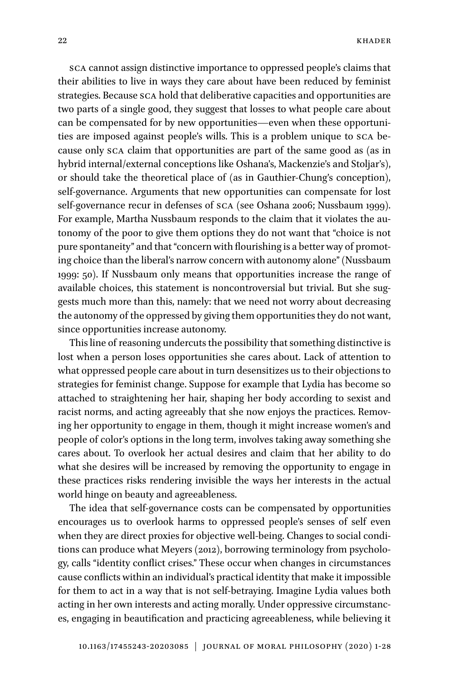sca cannot assign distinctive importance to oppressed people's claims that their abilities to live in ways they care about have been reduced by feminist strategies. Because sca hold that deliberative capacities and opportunities are two parts of a single good, they suggest that losses to what people care about can be compensated for by new opportunities—even when these opportunities are imposed against people's wills. This is a problem unique to sca because only sca claim that opportunities are part of the same good as (as in hybrid internal/external conceptions like Oshana's, Mackenzie's and Stoljar's), or should take the theoretical place of (as in Gauthier-Chung's conception), self-governance. Arguments that new opportunities can compensate for lost self-governance recur in defenses of sca (see [Oshana 2006](#page-27-13); [Nussbaum 1999\)](#page-27-19). For example, Martha Nussbaum responds to the claim that it violates the autonomy of the poor to give them options they do not want that "choice is not pure spontaneity" and that "concern with flourishing is a better way of promoting choice than the liberal's narrow concern with autonomy alone" [\(Nussbaum](#page-27-19)  [1999](#page-27-19): 50). If Nussbaum only means that opportunities increase the range of available choices, this statement is noncontroversial but trivial. But she suggests much more than this, namely: that we need not worry about decreasing the autonomy of the oppressed by giving them opportunities they do not want, since opportunities increase autonomy.

This line of reasoning undercuts the possibility that something distinctive is lost when a person loses opportunities she cares about. Lack of attention to what oppressed people care about in turn desensitizes us to their objections to strategies for feminist change. Suppose for example that Lydia has become so attached to straightening her hair, shaping her body according to sexist and racist norms, and acting agreeably that she now enjoys the practices. Removing her opportunity to engage in them, though it might increase women's and people of color's options in the long term, involves taking away something she cares about. To overlook her actual desires and claim that her ability to do what she desires will be increased by removing the opportunity to engage in these practices risks rendering invisible the ways her interests in the actual world hinge on beauty and agreeableness.

The idea that self-governance costs can be compensated by opportunities encourages us to overlook harms to oppressed people's senses of self even when they are direct proxies for objective well-being. Changes to social conditions can produce what Meyers (2012), borrowing terminology from psychology, calls "identity conflict crises." These occur when changes in circumstances cause conflicts within an individual's practical identity that make it impossible for them to act in a way that is not self-betraying. Imagine Lydia values both acting in her own interests and acting morally. Under oppressive circumstances, engaging in beautification and practicing agreeableness, while believing it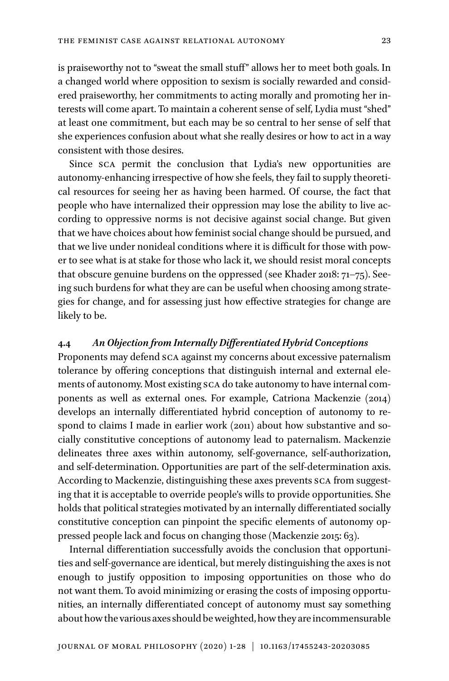is praiseworthy not to "sweat the small stuff" allows her to meet both goals. In a changed world where opposition to sexism is socially rewarded and considered praiseworthy, her commitments to acting morally and promoting her interests will come apart. To maintain a coherent sense of self, Lydia must "shed" at least one commitment, but each may be so central to her sense of self that she experiences confusion about what she really desires or how to act in a way consistent with those desires.

Since sca permit the conclusion that Lydia's new opportunities are autonomy-enhancing irrespective of how she feels, they fail to supply theoretical resources for seeing her as having been harmed. Of course, the fact that people who have internalized their oppression may lose the ability to live according to oppressive norms is not decisive against social change. But given that we have choices about how feminist social change should be pursued, and that we live under nonideal conditions where it is difficult for those with power to see what is at stake for those who lack it, we should resist moral concepts that obscure genuine burdens on the oppressed (see Khader 2018: 71–75). Seeing such burdens for what they are can be useful when choosing among strategies for change, and for assessing just how effective strategies for change are likely to be.

### **4.4** *An Objection from Internally Differentiated Hybrid Conceptions*

Proponents may defend sca against my concerns about excessive paternalism tolerance by offering conceptions that distinguish internal and external elements of autonomy. Most existing sca do take autonomy to have internal components as well as external ones. For example, Catriona Mackenzie (2014) develops an internally differentiated hybrid conception of autonomy to respond to claims I made in earlier work (2011) about how substantive and socially constitutive conceptions of autonomy lead to paternalism. Mackenzie delineates three axes within autonomy, self-governance, self-authorization, and self-determination. Opportunities are part of the self-determination axis. According to Mackenzie, distinguishing these axes prevents sca from suggesting that it is acceptable to override people's wills to provide opportunities. She holds that political strategies motivated by an internally differentiated socially constitutive conception can pinpoint the specific elements of autonomy oppressed people lack and focus on changing those ([Mackenzie 2015](#page-26-0): 63).

Internal differentiation successfully avoids the conclusion that opportunities and self-governance are identical, but merely distinguishing the axes is not enough to justify opposition to imposing opportunities on those who do not want them. To avoid minimizing or erasing the costs of imposing opportunities, an internally differentiated concept of autonomy must say something about how the various axes should be weighted, how they are incommensurable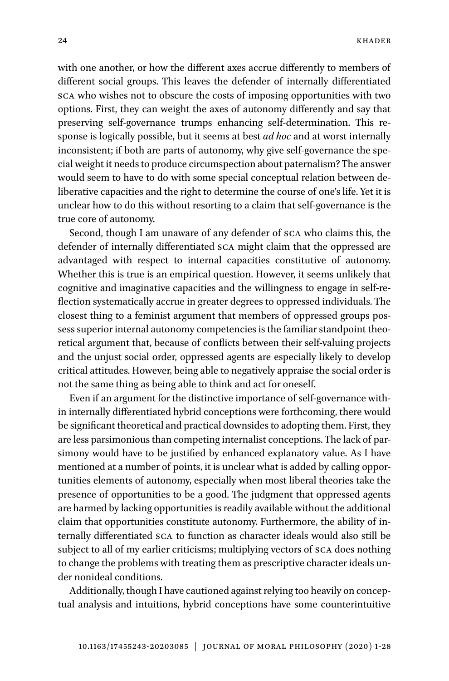with one another, or how the different axes accrue differently to members of different social groups. This leaves the defender of internally differentiated sca who wishes not to obscure the costs of imposing opportunities with two options. First, they can weight the axes of autonomy differently and say that preserving self-governance trumps enhancing self-determination. This response is logically possible, but it seems at best *ad hoc* and at worst internally inconsistent; if both are parts of autonomy, why give self-governance the special weight it needs to produce circumspection about paternalism? The answer would seem to have to do with some special conceptual relation between deliberative capacities and the right to determine the course of one's life. Yet it is unclear how to do this without resorting to a claim that self-governance is the true core of autonomy.

Second, though I am unaware of any defender of sca who claims this, the defender of internally differentiated sca might claim that the oppressed are advantaged with respect to internal capacities constitutive of autonomy. Whether this is true is an empirical question. However, it seems unlikely that cognitive and imaginative capacities and the willingness to engage in self-reflection systematically accrue in greater degrees to oppressed individuals. The closest thing to a feminist argument that members of oppressed groups possess superior internal autonomy competencies is the familiar standpoint theoretical argument that, because of conflicts between their self-valuing projects and the unjust social order, oppressed agents are especially likely to develop critical attitudes. However, being able to negatively appraise the social order is not the same thing as being able to think and act for oneself.

Even if an argument for the distinctive importance of self-governance within internally differentiated hybrid conceptions were forthcoming, there would be significant theoretical and practical downsides to adopting them. First, they are less parsimonious than competing internalist conceptions. The lack of parsimony would have to be justified by enhanced explanatory value. As I have mentioned at a number of points, it is unclear what is added by calling opportunities elements of autonomy, especially when most liberal theories take the presence of opportunities to be a good. The judgment that oppressed agents are harmed by lacking opportunities is readily available without the additional claim that opportunities constitute autonomy. Furthermore, the ability of internally differentiated sca to function as character ideals would also still be subject to all of my earlier criticisms; multiplying vectors of sca does nothing to change the problems with treating them as prescriptive character ideals under nonideal conditions.

Additionally, though I have cautioned against relying too heavily on conceptual analysis and intuitions, hybrid conceptions have some counterintuitive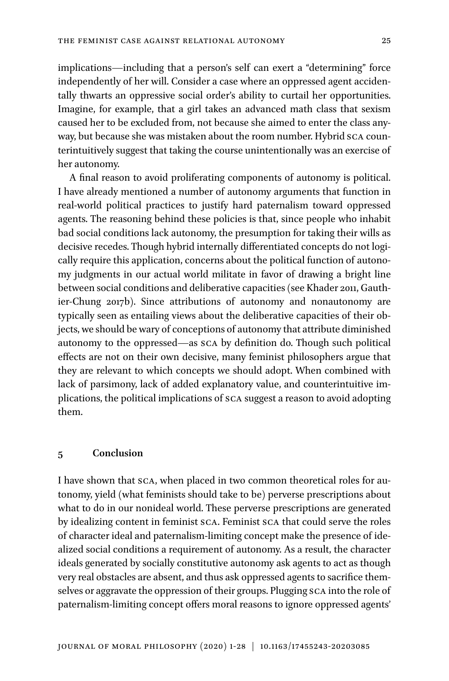implications—including that a person's self can exert a "determining" force independently of her will. Consider a case where an oppressed agent accidentally thwarts an oppressive social order's ability to curtail her opportunities. Imagine, for example, that a girl takes an advanced math class that sexism caused her to be excluded from, not because she aimed to enter the class anyway, but because she was mistaken about the room number. Hybrid sca counterintuitively suggest that taking the course unintentionally was an exercise of her autonomy.

A final reason to avoid proliferating components of autonomy is political. I have already mentioned a number of autonomy arguments that function in real-world political practices to justify hard paternalism toward oppressed agents. The reasoning behind these policies is that, since people who inhabit bad social conditions lack autonomy, the presumption for taking their wills as decisive recedes. Though hybrid internally differentiated concepts do not logically require this application, concerns about the political function of autonomy judgments in our actual world militate in favor of drawing a bright line between social conditions and deliberative capacities (see [Khader 2011](#page-26-1), [Gauth](#page-26-12)[ier-Chung 2017b](#page-26-12)). Since attributions of autonomy and nonautonomy are typically seen as entailing views about the deliberative capacities of their objects, we should be wary of conceptions of autonomy that attribute diminished autonomy to the oppressed—as sca by definition do. Though such political effects are not on their own decisive, many feminist philosophers argue that they are relevant to which concepts we should adopt. When combined with lack of parsimony, lack of added explanatory value, and counterintuitive implications, the political implications of sca suggest a reason to avoid adopting them.

# **5 Conclusion**

I have shown that sca, when placed in two common theoretical roles for autonomy, yield (what feminists should take to be) perverse prescriptions about what to do in our nonideal world. These perverse prescriptions are generated by idealizing content in feminist sca. Feminist sca that could serve the roles of character ideal and paternalism-limiting concept make the presence of idealized social conditions a requirement of autonomy. As a result, the character ideals generated by socially constitutive autonomy ask agents to act as though very real obstacles are absent, and thus ask oppressed agents to sacrifice themselves or aggravate the oppression of their groups. Plugging sca into the role of paternalism-limiting concept offers moral reasons to ignore oppressed agents'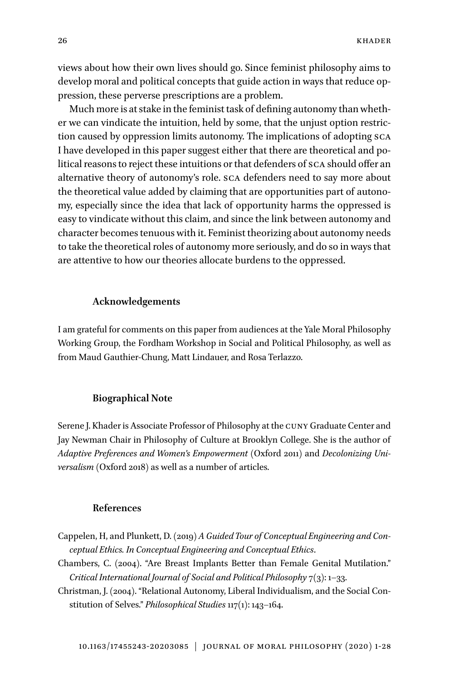**KHADER** 

views about how their own lives should go. Since feminist philosophy aims to develop moral and political concepts that guide action in ways that reduce oppression, these perverse prescriptions are a problem.

Much more is at stake in the feminist task of defining autonomy than whether we can vindicate the intuition, held by some, that the unjust option restriction caused by oppression limits autonomy. The implications of adopting sca I have developed in this paper suggest either that there are theoretical and political reasons to reject these intuitions or that defenders of sca should offer an alternative theory of autonomy's role. sca defenders need to say more about the theoretical value added by claiming that are opportunities part of autonomy, especially since the idea that lack of opportunity harms the oppressed is easy to vindicate without this claim, and since the link between autonomy and character becomes tenuous with it. Feminist theorizing about autonomy needs to take the theoretical roles of autonomy more seriously, and do so in ways that are attentive to how our theories allocate burdens to the oppressed.

# **Acknowledgements**

I am grateful for comments on this paper from audiences at the Yale Moral Philosophy Working Group, the Fordham Workshop in Social and Political Philosophy, as well as from Maud Gauthier-Chung, Matt Lindauer, and Rosa Terlazzo.

# **Biographical Note**

Serene J. Khader is Associate Professor of Philosophy at the cuny Graduate Center and Jay Newman Chair in Philosophy of Culture at Brooklyn College. She is the author of *Adaptive Preferences and Women's Empowerment* (Oxford 2011) and *Decolonizing Universalism* (Oxford 2018) as well as a number of articles.

### **References**

- Cappelen, H, and Plunkett, D. (2019) *A Guided Tour of Conceptual Engineering and Conceptual Ethics. In Conceptual Engineering and Conceptual Ethics*.
- <span id="page-25-1"></span>Chambers, C. (2004). "Are Breast Implants Better than Female Genital Mutilation." *Critical International Journal of Social and Political Philosophy* 7(3): 1–33.
- <span id="page-25-0"></span>Christman, J. (2004). "Relational Autonomy, Liberal Individualism, and the Social Constitution of Selves." *Philosophical Studies* 117(1): 143–164.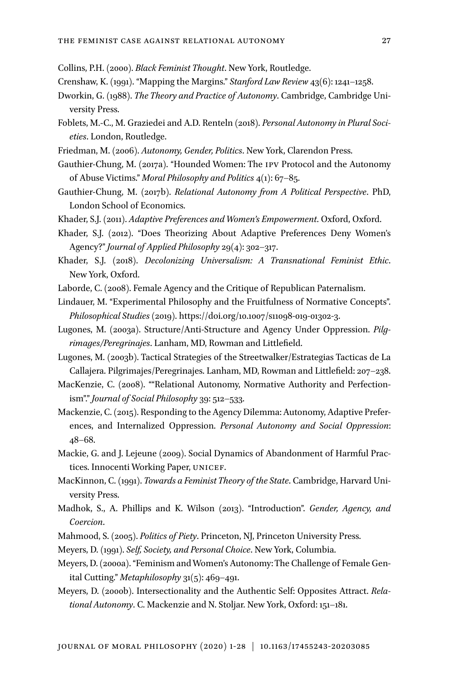- <span id="page-26-10"></span>Collins, P.H. (2000). *Black Feminist Thought*. New York, Routledge.
- <span id="page-26-9"></span>Crenshaw, K. (1991). "Mapping the Margins." *Stanford Law Review* 43(6): 1241–1258.
- <span id="page-26-4"></span>Dworkin, G. (1988). *The Theory and Practice of Autonomy*. Cambridge, Cambridge University Press.
- Foblets, M.-C., M. Graziedei and A.D. Renteln (2018). *Personal Autonomy in Plural Societies*. London, Routledge.
- <span id="page-26-2"></span>Friedman, M. (2006). *Autonomy, Gender, Politics*. New York, Clarendon Press.
- <span id="page-26-11"></span>Gauthier-Chung, M. (2017a). "Hounded Women: The ipv Protocol and the Autonomy of Abuse Victims." *Moral Philosophy and Politics* 4(1): 67–85.
- <span id="page-26-12"></span>Gauthier-Chung, M. (2017b). *Relational Autonomy from A Political Perspective*. PhD, London School of Economics.
- <span id="page-26-1"></span>Khader, S.J. (2011). *Adaptive Preferences and Women's Empowerment*. Oxford, Oxford.
- Khader, S.J. (2012). "Does Theorizing About Adaptive Preferences Deny Women's Agency?" *Journal of Applied Philosophy* 29(4): 302–317.
- Khader, S.J. (2018). *Decolonizing Universalism: A Transnational Feminist Ethic*. New York, Oxford.
- <span id="page-26-8"></span>Laborde, C. (2008). Female Agency and the Critique of Republican Paternalism.
- Lindauer, M. "Experimental Philosophy and the Fruitfulness of Normative Concepts". *Philosophical Studies* (2019).<https://doi.org/10.1007/s11098-019-01302-3>.
- Lugones, M. (2003a). Structure/Anti-Structure and Agency Under Oppression. *Pilgrimages/Peregrinajes*. Lanham, MD, Rowman and Littlefield.
- Lugones, M. (2003b). Tactical Strategies of the Streetwalker/Estrategias Tacticas de La Callajera. Pilgrimajes/Peregrinajes. Lanham, MD, Rowman and Littlefield: 207–238.
- <span id="page-26-3"></span>MacKenzie, C. (2008). ""Relational Autonomy, Normative Authority and Perfectionism"." *Journal of Social Philosophy* 39: 512–533.
- <span id="page-26-0"></span>Mackenzie, C. (2015). Responding to the Agency Dilemma: Autonomy, Adaptive Preferences, and Internalized Oppression. *Personal Autonomy and Social Oppression*: 48–68.
- <span id="page-26-13"></span>Mackie, G. and J. Lejeune (2009). Social Dynamics of Abandonment of Harmful Practices. Innocenti Working Paper, UNICEF.
- <span id="page-26-6"></span>MacKinnon, C. (1991). *Towards a Feminist Theory of the State*. Cambridge, Harvard University Press.
- Madhok, S., A. Phillips and K. Wilson (2013). "Introduction". *Gender, Agency, and Coercion*.
- <span id="page-26-7"></span>Mahmood, S. (2005). *Politics of Piety*. Princeton, NJ, Princeton University Press.
- <span id="page-26-5"></span>Meyers, D. (1991). *Self, Society, and Personal Choice*. New York, Columbia.
- Meyers, D. (2000a). "Feminism and Women's Autonomy: The Challenge of Female Genital Cutting." *Metaphilosophy* 31(5): 469–491.
- Meyers, D. (2000b). Intersectionality and the Authentic Self: Opposites Attract. *Relational Autonomy*. C. Mackenzie and N. Stoljar. New York, Oxford: 151–181.